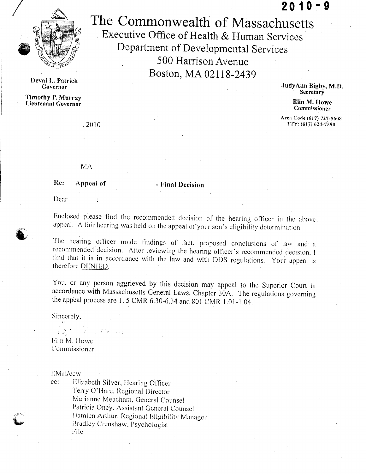

Deval 1.. Patrick ar L. Pau

 $T \cdot T$   $T \cdot T$  music Linoury L. Buttay

,2010

The Commonwealth of Massachusetts Executive Office of Health & Human Services Department of Developmental. Services 500 Harrison Avenue Boston, MA 02118-2439 .ludyAnn Bigby, M.I).

Secretary

2010.9

Elin M. Howe Com ivi. Howe

Area Code (617) 727-5608 TTY: (617) 624-7590

MA

# Re: Appeal of Final Decision

**Dear** 

Enclosed please find the recommended decision of the hearing officer in the above appeal. A fair hearing was held on the appeal of your son's eligibility determination.

The hearing officer made findings of fact, proposed conclusions of law and a recommended decision. After reviewing the hearing officer's recommended decision. I lind that it is in accordance with the law and with DDS regulations. You  $t = \frac{1}{2}$ .

You, or any person aggrieved by this decision may appeal to the Superior Court in accordance with Massachusetts General Laws, Chapter 30A. The regulations governing the appeal process are 115 CMR 6.30-6.34 and 801 CMR 1.01-1.04.

Sincerely,

Elin M. Howe ('ommissioner

EMH/ecw

cc: Elizabeth Silver, Hearing Officer Terry O'Ilarc. Regional Director Marianne Meacham, General Counsel Patricia Oney, Assistant General Counsel Damicn Arthur, Regional Eligibility Manager Bradley Crenshaw, Psychologist<br>File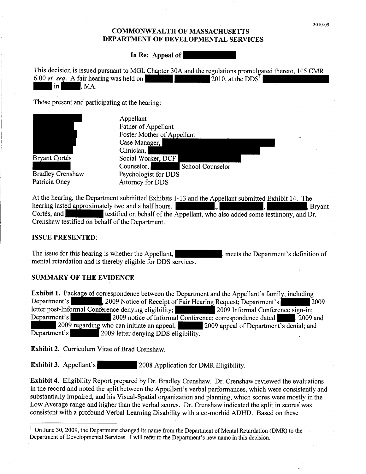# COMMONWEALTH OF MASSACHUSETTS COMMONWEALTH OF MASSACHUSETTS<br>DEPARTMENT OF DEVELOPMENTAL SERVICES<br>In Re: Appeal of

 $\frac{1}{3}$  and the regulation is issued pursuant to MGL Chanter 20A and the regulations promulgated the regulations promulgated the regulations promulgated the regulations promulgated the regulations of  $\frac{1}{3}$ This decision is issued pursuant to MGL<br>6.00 *et. seq.* A fair hearing was held on VTAL SERVICES<br>gulations promulgated thereto,  $1.15$  CMR<br>2010, at the DDS<sup>1</sup>

Those present and participating at the hearing:

Appellant



Bradley Crenshaw Patricia Oney

Father of Appellant runoi ori ipponunt Case Manager, Clinician, I Social Worker, DCF Counselor, Psychologist for DDS Attorney for DDS School Counselor

At the hearing, the Department submitted Exhibits 1-13 and the A 9ellant Exhibits 1-13 and the A 9ellant Exhibits 1-13 and the A 9ellant Exhibits 1-13 and the A 9ellant Exhibits 1-13 and the A 9ellant Exhibit 14. The A 9e At the hearing, the Department submitted Exhibits 1-13 and the Appellant submitted Exhibit 14. The<br>hearing lasted approximately two and a half hours. hearing lasted approximately two and a half hours.<br>Cortés, and  $\begin{bmatrix} 1 & 1 \\ 1 & 1 \end{bmatrix}$  testified on behalf of the Appellant, who also added some testimony, and Dr. Crenshaw testified on behalf of the Department.

#### ISSUE PRESENTED:

The issue for this hearing is whether the Appellant, The Superior extends the Department's definition of mental retardation and is thereby eligible for DDS services.

## SUMMARY OF THE EVIDENCE

Exhibit 1. Package of correspondence between the Department and the Appellant's family, including Department's 2009 Notice of Receipt of Fair Hearing Request; Department's 2009 Exhibit 1. Package of correspondence between the Department and the Appellant's family, including<br>Department's 2009 Notice of Receipt of Fair Hearing Request; Department's 2<br>letter post-Informal Conference denying eligibil Exhibit 1. Package of correspondence between the Department and the Appellant's family, including<br>Department's 2009 Notice of Receipt of Fair Hearing Request; Department's 2009<br>letter post-Informal Conference denying eligi 2009 Informal Conference denying eligibility;<br>
2009 Informal Conference sign-in;<br>
2009 regarding who can initiate an appeal;<br>
2009 appeal of Department's denial; and 2009 regarding who can initiate an appeal;<br>Department's denial; and Department's denial; and 2009 letter denying DDS eligibility.

Exhibit 2. Curriculum Vitae of Brad Crenshaw.

**Exhibit 3.** Appellant's <sup>2008</sup> Application for DMR Eligibility.

Exhibit 4. Eligibility Report prepared by Dr. Bradley Crenshaw. Dr. Crenshaw reviewed the evaluations in the record and noted the split between the Appellant's verbal performances, which were consistently and substantially impaired, and his Visual-Spatial organization and planning, which scores were mostly in the Low Average range and higher than the verbal scores. Dr. Crenshaw indicated the split in scores was consistent with a profound Verbal Learning Disability with a co-morbid ADHD. Based on these

<sup>&</sup>lt;sup>1</sup> On June 30, 2009, the Department changed its name from the Department of Mental Retardation (DMR) to the Department of Developmental Services. I will refer to the Department's new name in this decision.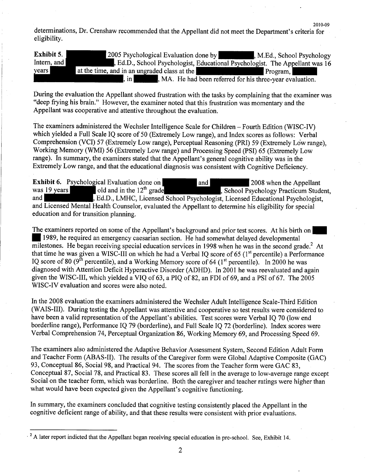determinations, Dr. Crenshaw recommended that the Appellant did not meet the Department's criteria for

2010-09

Dr. Crenshaw recommended that the Appellant did not meet the Department's<br>
2005 Psychological Evaluation done by<br>
, M.Ed., School, Ed.D., School Psychologist, Educational Psychologist. The Ap<br>
at the time, and in an ungrad Exhibit 5. 2005 Psychological Evaluation done by •, M.Ed., School Psychology  $\mathsf{F}$ . Ed.D., School Psychologist, Educational Psychologist. The Appellant was 16 Intern, and years at the time, and in an ungraded class at the **interest of the state of the state of the state of the state of the state of the state of the state of the state of the state of the state of the state of the state of the stat** 

During the evaluation the Appellant showed frustration with the tasks by complaining that the examiner was "deep frying his brain." However, the examiner noted that this frustration was momentary and the Appellant was cooperative and attentive throughout the evaluation.

The examiners administered the Wechsler Intelligence Scale for Children  $-$  Fourth Edition (WISC-IV) which yielded a Full Scale IQ score of 50 (Extremely Low range), and Index scores as follows: Verbal Comprehension (VCI) 57 (Extremely Low range), Perceptual Reasoning (PRI) 59 (Extremely Low range), Working Memory (WMI) 56 (Extremely Low range) and Processing Speed (PSI) 65 (Extremely Low range). In summary, the examiners stated that the Appellant's general cognitive ability was in the Extremely Low range, and that the educational diagnosis was consistent with Cognitive Deficiency.

**Exhibit 6.** Psychological Evaluation done on 2008 when the Appellant was 19 years old and in the  $12<sup>th</sup>$  grade substitution. School Psychology Practicum Student, and Fed.D., LMHC, Licensed School Psychologist, Licensed Educational Psychologist, and Licensed Mental Health Counselor, evaluated the Appellant to determine his eligibility for special to determine his eligibility for special to determine his eligibility for special to determine his eligibility for spec education and formula for the components.

The examiners reported on some of the Appellant's background and prior test scores. At his birth on The examiners reported on some of the Appellant's background and prior test scores. At his birth<br>1989, he required an emergency ecception section. He had somewhat delayed developmental 1989, he required an emergency caesarian section. He had somewhat delayed developmental<br>milestones. He began receiving special education services in 1998 when he was in the second grade.<sup>2</sup> At that time he was given a WISC-III on which he had a Verbal IQ score of 65 ( $1<sup>st</sup>$  percentile) a Performance IQ score of 80 ( $9<sup>th</sup>$  percentile), and a Working Memory score of 64 ( $1<sup>st</sup>$  percentile). In 2000 he was diagnosed with Attention Deficit Hyperactive Disorder (ADHD). In 2001 he was reevaluated and again given the WISC-III, which yielded a VIQ of 63, a PIQ of 82, an FDI of 69, and a PSI of 67. The 2005 WISC-IV evaluation and scores were also noted.

In the 2008 evaluation the examiners administered the Wechsler Adult Intelligence Scale-Third Edition (WAIS-III). During testing the Appellant was attentive and cooperative so test results were considered to have been a valid representation of the Appellant's abilities. Test scores were Verbal IQ 70 (low end borderline range), Performance IQ 79 (borderline), and Full Scale IQ 72 (borderline). Index scores were Verbal Comprehension 74, Perceptual Organization 86, Working Memory 69, and Processing Speed 69.

The examiners also administered the Adaptive Behavior Assessment System, Second Edition Adult Form and Teacher Form (ABAS-II). The results of the Caregiver form were Global Adaptive Composite (GAC) 93, Conceptual 86, Social 98, and Practical 94. The scores from the Teacher form were GAC 83, Conceptual 87, Social 78, and Practical 83. These scores all fell in the average to low-average range except Social on the teacher form, which was borderline. Both the caregiver and teacher ratings were higher than what would have been expected given the Appellant's cognitive functioning.

In summary, the examiners concluded that cognitive testing consistently placed the Appellant in the cognitive deficient range of ability, and that these results were consistent with prior evaluations.

 $2 + 1$  is represent indicted that the Appellant began receiving special education in pre-school. See, Exhibit 14. The Appellant began receiving special education in pre-school. See, Exhibit 14. The Appellant 14. The Appel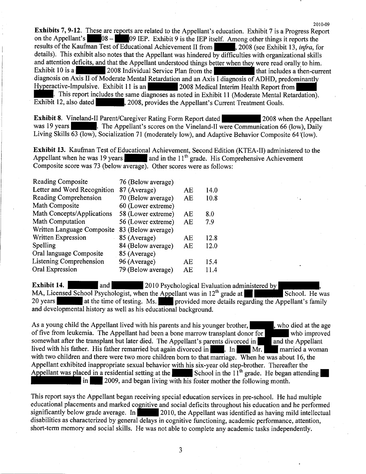**Exhibits 7, 9-12.** These are reports are related to the Appellant's education. Exhibit 7 is a Progress Report on the Appellant's  $\blacksquare$  08 - 09 IEP. Exhibit 9 is the IEP itself. Among other things it reports the on the Appellant's  $\begin{array}{r} 08 - 09 \text{ IEP.} \end{array}$  Exhibit 9 is the IEP itself. Among other things it reports the details). This exhibit also notes that the Appellant was hindered by difficulties with organizational skills and attention deficits, and that the Appellant understood things better when they were read orally to him. results of the Kaufman Test of Educational Achievement II from 1. 2008 (see Exhibit 13, *infra*, for details). This exhibit also notes that the Appellant was hindered by difficulties with organizational skills and attentio diagnosis on Axis II of Moderate Mental Retardation and an Axis I diagnosis of ADHD, Exhibit 10 is a<br>
Exhibit 10 is a 2008 Individual Service Plan from the that includes a<br>
diagnosis on Axis II of Moderate Mental Retardation and an Axis I diagnosis of ADHD, predor<br>
Hyperactive-Impulsive. Exhibit 11 is an 2 Exhibit 12, also dated a Exhibit 11 is an and all 2008 Medical Interim Health Report from<br>Exhibit 12, also dated a controller and 2008, provides the Appellant's Current Treatment Goals.<br>Exhibit 8. Vineland-II Parent/Caregi

2010-09

Exhibit 8. Vineland-II Parent/Caregiver Rating Form Report dated 2008 when the Appellant was 19 years •, The Appellant's scores on the Vineland-II were Communication 66 (low), Daily Living Skills 63 (low), Socialization 71 (moderately low), and Adaptive Behavior Composite 64"(low).

Exhibit 13. Kaufman Test of Educational Achievement, Second Edition (KTEA-II) administered to the Appellant when he was 19 years **and in the leads** and in the leads and in the comprehensive Achievement. Appellant when he was 19 years and in the  $11<sup>th</sup>$  grade. His Comprehensive Achievement Composite score was 73 (below average). Other scores were as follows:

| Reading Composite              | 76 (Below average) |     |      |
|--------------------------------|--------------------|-----|------|
| Letter and Word Recognition    | 87 (Average)       | АE. | 14.0 |
| Reading Comprehension          | 70 (Below average) | AE  | 10.8 |
| Math Composite                 | 60 (Lower extreme) |     |      |
| Math Concepts/Applications     | 58 (Lower extreme) | AE  | 8.0  |
| Math Computation               | 56 (Lower extreme) | AE  | 7.9  |
| Written Language Composite     | 83 (Below average) |     |      |
| Written Expression             | 85 (Average)       | AE. | 12.8 |
| Spelling                       | 84 (Below average) | AE  | 12.0 |
| Oral language Composite        | 85 (Average)       |     |      |
| <b>Listening Comprehension</b> | 96 (Average)       | AE. | 15.4 |
| Oral Expression                | 79 (Below average) | AE. | 11.4 |

**Exhibit 14.** • **And • 2010** Psychological Evaluation administered by **Exhibit 14.** and and an and an appellant was in  $12^{th}$  grade at  $\blacksquare$  School. He was at the time of testing. Ms.  $\blacksquare$  provided more details regarding the Appellant's family at the time of testing. Ms.  $\blacksquare$  provided 20 years at the time of testing. Ms. The provided more details regarding the Appellant's family and developmental history as well as his educational background.

As a young child the Appellant lived with his parents and his younger brother, who died at the age of five from leukemia. The Appellant had been a bone marrow transplant donor for who improved somewhat after the transplant but later died. The Appellant's parents divorced in and the Appellant lived with his father. His father remarried but again divorced in **In 1989.** Mr. In married a woman lived with his father. His father remarried but again divorced in **the act of the marriage.** When he was about 16, the with two children and there were two more children born to that marriage. When he was about 16, the with two children and there were two more children born to that marriage. When he was about 16, the Appellant exhibited inappropriate sexual behavior with his six-year old step-brother. Thereafter the Appellant was placed Appellant was placed in a residential setting at the  $\sum_{n=1}^{\infty}$  School in the 11<sup>th</sup> grade. He began attending in  $\sum_{n=1}^{\infty}$  2009, and began living with his foster mother the following month.

This report says the Appellant began receiving special education services in pre-school. He had multiple educational placements and marked cognitive and social deficits throughout his education and he performed significantly below grade average. In 2010, the Appellant was identified as having mild intellectual disabilities as characterized by general delays in cognitive functioning, academic performance, attention, short-term memory and social skills. He was not able to complete any academic tasks independently.

3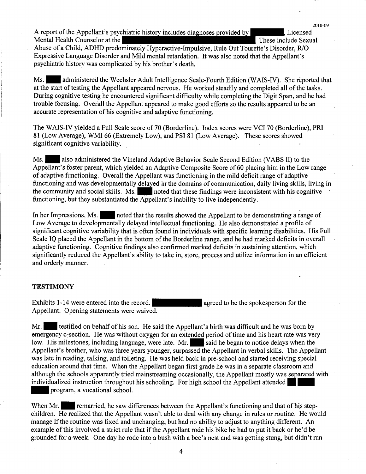A report of the Appellant's psychiatric history includes diagnoses provided by  $\blacksquare$ , Licensed

Mental Health Counselor at the **Abuse of a Child, ADHD** predominately Hyperactive-Impulsive, Rule Out Tourette's Disorder, R/O Expressive Language Disorder and Mild mental retardation. It was also noted that the Appellant's psychiatric history was complicated by his brother's death.

Ms. • administered the Wechsler Adult Intelligence Scale-Fourth Edition (WAIS-IV). She reported that at the start of testing the Appellant appeared nervous. He worked steadily and completed all of the tasks. During cognitive testing he encountered significant difficulty while completing the Digit Span, and he had trouble focusing. Overall the Appellant appeared to make good efforts so the results appeared to be an accurate representation of his cognitive and adaptive functioning.

The WAIS-IV yielded a Full Scale score of 70 (Borderline). Index scores were VCI 70 (Borderline), PRI 81 (Low Average), WMI 66 (Extremely Low), and PSI 81 (Low Average). These scores showed significant cognitive variability.

Ms. • also administered the Vineland Adaptive Behavior Scale Second Edition (VABS II) to the Appellant's foster parent, which yielded an Adaptive Composite Score of 60 placing him in the Low range of adaptive functioning. Overall the Appellant was functioning in the mild deficit range of adaptive functioning and was developmentally delayed in the domains of communication, daily living skills, living in the community and social skills. Ms. noted that these findings were inconsistent with his cognitive functioning, but they substantiated the Appellant's inability to live independently.

In her Impressions, Ms. noted that the results showed the Appellant to be demonstrating a range of Low Average to developmentally delayed intellectual functioning. He also demonstrated a profile of significant cognitive variability that is often found in individuals with specific learning disabilities. His Full Scale IQ placed the Appellant in the bottom of the Borderline range, and he had marked deficits in overall adaptive functioning. Cognitive findings also confirmed marked deficits in sustaining attention, which significantly reduced the Appellant's ability to take in, store, process and utilize information in an efficient and orderly manner.

### **TESTIMONY**

TESTIMONY<br>Exhibits 1-14 were entered into the record. **Figure 2014** agreed to be the spokesperson for the Exhibits 1-14 were entered into the record.<br>Appellant. Opening statements were waived.

Mr. **• Interest in testified on behalf of his son.** He said the Appellant's birth was difficult and he was born by emergency c-section. He was without oxygen for an extended period of time and his heart rate was very low. His milestones, including language, were late. Mr. • said he began to notice delays when the low. His milestones, including language, were late. Mr. said he began to notice delays when the Appellant's brother, who was three years younger, surpassed the Appellant in verbal skills. The Appellant was late in reading, talking, and toileting. He was held back in pre-school and started receiving special education around that time. When the Appellant began first grade he was in a separate classroom and although the schools apparently tried mainstreaming occasionally, the Appellant mostly was separated with annough the schools apparently the mainstreaming occasionally, the Appellant mostly was<br>individualized instruction throughout his schooling. For high school the Appellant attended

program, a vocational school.<br>When Mr. I remarried, he saw differences between the Appellant's functioning and that of his stepchildren. He realized that the Appellant wasn't able to deal with any change in rules or routine. He would manage if the routine was fixed and unchanging, but had no ability to adjust to anything different. An example of this involved a strict rule that if the Appellant rode his bike he had to put it back or he'd be grounded for a.week. One day he rode into a bush with a bee's nest and was getting stung, but didn't run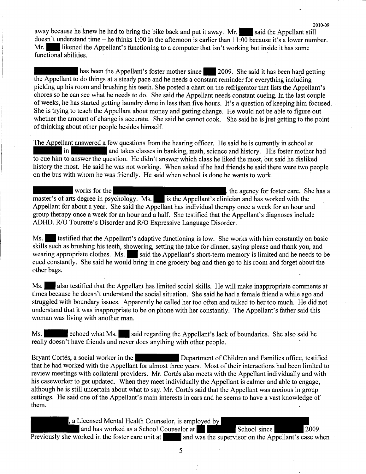away because he knew he had to bring the bike back and put it away. Mr. said the Appellant still doesn't understand time  $-$  he thinks 1:00 in the afternoon is earlier than 11:00 because it's a lower number.<br>Mr. ikened the Appellant's functioning to a computer that isn't working but inside it has some Mr. likened the likened the functional abilities. Iikened the Appellant's functioning to a computer that isn't working but inside it has some<br>al abilities.<br>has been the Appellant's foster mother since 2009. She said it has been hard getting

2010-09

the Appellant to do things at a steady pace and he needs a constant reminder for everything including picking up his room and brushing his teeth. She posted a chart on the refrigerator that lists the Appellant's chores so he can see what he needs to do. She said the Appellant needs constant cueing. In the last couple of weeks, he has started getting laundry done in less than five hours. It's a question of keeping him focused. She is trying to teach the Appellant about money and getting change. He would not be able to figure out whether the amount of change is accurate. She said he cannot cook. She said he is just getting to the point of thinking about other people besides himself.

The Appel The Appellant answered a few questions from the hearing officer. He said he is currently in school at in **and takes classes in banking, math, science and history.** His foster mother had to cue him to answer the question. He didn't answer which class he liked the most, but said he disliked history the most. He said he was not working. When asked if he had friends he said there were two people on the bus with whom he was friendly. He said when school is done he wants to work.<br>Works for the the said when schoo on the bus with whom he was friendly. He said when school is done he wants to work.

works for the works for the works for the master's of arts degree in psychology. Ms. is the Appellant's clinician and has worked with the Appellant for about a year. She said the Appellant has individual therapy once a week for an hour and group therapy once a week for an hour and a half. She testified that the Appellant's diagnoses include ADHD, R/O Tourette's Disorder and R/O Expressive Language Disorder.

Ms. **• Interferent testified that the Appellant's adaptive functioning is low.** She works with him constantly on basic skills such as brushing his teeth, Showering, setting the table for dinner, saying please and thank you, and wearing appropriate clothes. Ms. said the Appellant's short-term memory is limited and he needs to be cued constantly. She said he would bring in one grocery bag and then go to his room and forget about the other bags.

Ms. **• also testified that the Appellant has limited social skills. He will make inappropriate comments at** times because he doesn't understand the social situation. She said he had a female friend a while ago and struggled with boundary issues. Apparently he called her too often and talked to her too much. He did not understand that it was inappropriate to be on phone with her constantly. The Appellant's father said this woman was living with another man.

Ms. **• Exhibition extending the Appellant's lack of boundaries.** She also said he shows also he also said he really doesn't have friends and never does anything with other people.

Bryant Cortés, a social worker in the **• Department of Children and Families office**, testified that he had worked with the Appellant for almost three years. Most of their interactions had been limited to review meetings with collateral providers. Mr. Cortés also meets with the Appellant individually and with his caseworker to get updated. When they meet individually the Appellant is calmer and able to engage, although he is still uncertain about what to say. Mr. Cortés said that the Appellant was anxious in group settings. He said one of the Appellant's main interests in cars and he seems to have a vast knowledge of them.

, a Licensed Mental Health Counselor, is employed by

and has worked as a School Counselor at School School since 2009.

Previously she worked in the foster care unit at and was the supervisor on the Appellant's case when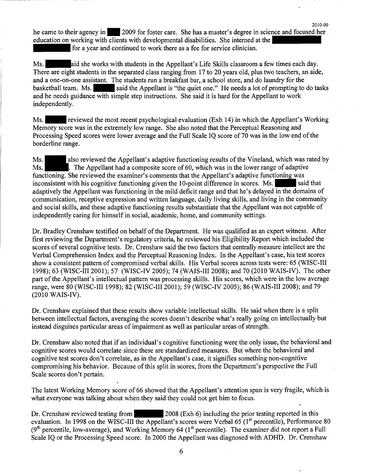he came to their agency in • 2009 for foster care. She has a master's degree in science and focused her education on working with clients with developmental disabilities. She interned at the **Federal one of the set of the set of the set of the set of the set of the set of the set of the set of the set of the set of the set o** he came to their agency in 2009 for foster care. She has a master's degree in education on working with clients with developmental disabilities. She interned a for a year and continued to work there as a fee for service cl

2010-09

Ms. aid she works with students in the Appellant's Life Skills classroom a few times each day. There are eight students in the separated class ranging from 17 to 20 years old, plus two teachers, an aide, There are eight students in the separated class ranging from 17 to 20 years old, plus two teachers, an aide, and a one-on-one assistant. The students run a breakfast bar, a school store, and do laundry for the headerball basketball team. Ms. said the Appellant is "the quiet one." He needs a lot of prompting to do tasks and he needs guidance with simple step instructions. She said it is hard for the Appellant to work independently.

Ms. • reviewed the most recent psychological evaluation (Exh 14) in which the Appellant's Working Memory score was in the extremely low range. She also noted that the Perceptual Reasoning and Processing Speed scores were lower average and the Full Scale IQ score of 70 was in the low end of the borderline range.

Ms. also reviewed the Appellant's adaptive functioning results of the Vineland, which was rated by Ms. The Appellant had a composite score of 60, which was in the lower range of adaptive functioning. She reviewed the examiner's comments that the Appellant's adaptive functioning was inconsistent with his cognitive functioning given the 10-point difference in scores. Ms.  $\blacksquare$  said that adaptively the Appellant was functioning in the mild deficit range and that he's delayed in the domains of communication, receptive expression and written language, daily living skills, and living in the Community and social skills, and these adaptive functioning results substantiate that the Appellant was not capable of independently caring for himself in social, academic, home, and community settings.

Dr. Bradley Crenshaw testified on behalf of the Department. He was qualified as an expert witness. After first reviewing the Department's regulatory criteria, he reviewed his Eligibility Report which included the scores of several cognitive tests. Dr. Crenshaw said the two factors that centrally measure intellect are the Verbal Comprehension Index and the Perceptual Reasoning Index. In the Appellant's case, his test scores show a consistent pattern of compromised verbal skills. His Verbal scores across tests were: 65 (WISC-III 1998); 63 (WISC-III 2001); 57 (WISC-IV 2005); 74 (WAIS-III 2008); and 70 (2010 WAIS-IV). The other part of the Appellant's intellectual pattern was processing skills. His scores, which were in the low average range, were 80 (WISC-III 1998); 82 (WISC-III 2001); 59 (WISC-IV 2005); 86 (WAIS-III 2008); and 79 (2010 WAIS-IV).

Dr. Crenshaw explained that these results show variable intellectual skills. He said when there is a split between intellectual factors, averaging the scores doesn't describe what's really going on intellectually but instead disguises particular areas of impairment as well as particular areas of strength.

Dr. Crenshaw also noted that if an individual's cognitive functioning were the only issue, the behavioral and cognitive scores would correlate since these are standardized measures. But where the behavioral and cognitive test scores don't correlate, as in the Appellant's case, it signifies something non-cognitive compromising his behavior. Because of this split in scores, from the Department's perspective the Full Scale scores don't pertain.

The latest Working Memory score of 66 showed that the Appellant's attention span is very fragile, which is what everyone was talking about when they said they could not get him to focus.<br>Dr. Crenshaw reviewed testing from 2008 (Exh 6) including the prior testing reported in this

Dr. Crenshaw reviewed testing from 2008 (Exh 6) including the prior testing reported in this evaluation. In 1998 on the WISC-III the Appellant's scores were Verbal 65 (1<sup>st</sup> percentile), Performance 80  $(9<sup>th</sup>$  percentile, low-average), and Working Memory 64 (1<sup>st</sup> percentile). The examiner did not report a Full Scale IQ or the Processing Speed score. In 2000 the Appellant was diagnosed with ADHD. Dr. Crenshaw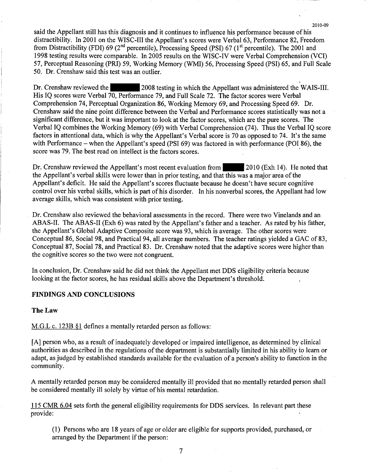said the Appellant still has this diagnosis and it continues to influence his performance because of his distractibility. In 2001 on the WISC-III the Appellant's scores were Verbal 63, Performance 82, Freedom from Distractibility (FDI) 69 (2<sup>nd</sup> percentile), Processing Speed (PSI) 67 (1<sup>st</sup> percentile). The 2001 and 1998 testing results were comparable. In 2005 results on the WISC-IV were Verbal Comprehension (VCI) 57, Perceptual Reasoning (PRI) 59, Working Memory (WMI) 56, Processing Speed (PSI) 65, and Full Scale 50. Dr. Crenshaw said this test was an outlier.

2010-09

Dr. Crenshaw reviewed the **1988** 2008 testing in which the Appellant was administered the WAIS-III. His IQ scores were Verbal 70, Performance 79, and Full Scale 72. The factor scores were Verbal Comprehension 74, Perceptual Organization 86, Working Memory 69, and Processing Speed 69. Dr. Crenshaw said the nine point difference between the Verbal and Performance scores statistically was not a significant difference, but it was important to look at the factor scores, which are the pure scores. The Verbal IQ combines the Working Memory (69) with Verbal Comprehension (74). Thus the Verbal IQ score factors in attentional data, which is why the Appellant's Verbal score is 70 as opposed to 74. It's the same with Performance – when the Appellant's speed (PSI 69) was factored in with performance (POI 86), the score was 79. The best read on intellect is the factors scores.

Dr. Crenshaw reviewed the Appellant's most recent evaluation from 2010 (Exh 14). He noted that the Appellant's verbal skills were lower than in prior testing, and that this was a major area of the Appellant's deficit. He said the Appellant's scores fluctuate because he doesn't have secure cognitive control over his verbal skills, which is part of his disorder. In his nonverbal scores, the Appellant had low average skills, which was consistent with prior testing.

Dr. Crenshaw also reviewed the behavioral assessments in the record. There were two Vinelands and an ABAS-II. The ABAS-II (Exh 6) was rated by the Appellant's father and a teacher. As rated by his father, the Appellant's Global Adaptive Composite score was 93, which is average. The other scores were Conceptual 86, Social 98, and Practical 94, all average numbers. The teacher ratings yielded a GAC of 83, Conceptual 87, Social 78, and Practical 83. Dr. Crenshaw noted that the adaptive scores were higher than the cognitive scores so the two were not congruent.

In conclusion, Dr. Crenshaw said he did not think the Appellant met DDS eligibility criteria because looking at the factor scores, he has residual skills above the Department's threshold.

#### FINDINGS AND CONCLUSIONS

#### The Law

M.G.L c. 123B §1 defines a mentally retarded person as follows:

[A] person who, as a result of inadequately developed or impaired intelligence, as determined by clinical authorities as described in the regulations of the department is substantially limited in his ability to learn or adapt, as judged by established standards available for the evaluation of a person's ability to function in the

A mentally retarded person may be considered mentally ill provided that no mentally retarded person shall be considered mentally ill solely by virtue of his mental retardation.

115 CMR 6.04 sets forth the general eligibility requirements for DDS services. In relevant part these provide:

(1) Persons who are 18 years of age or older are eligible for supports provided, purchased, or arranged by the Department if the person:

 $\overline{7}$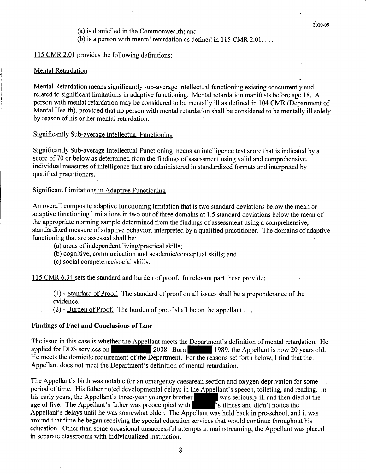(a) is domiciled in the Commonwealth; and

(b) is a person with mental retardation as defined in 115 CMR 2.01...

### 115 CMR 2.01 provides the following definitions:

#### Mental Retardation

Mental Retardation means significantly sub-average intellectual functioning existing concurrently and related to significant limitations in adaptive functioning. Mental retardation manifests before age 18. A person with mental retardation may be considered to be mentally ill as defined in 104 CMR (Department of Mental Health), provided that no person with mental retardation shall be considered to be mentally ill solely by reason of his or her mental retardation.

#### Significantly Sub-average Intellectual Functioning

Significantly Sub-average Intellectual Functioning means an intelligence test score that is indicated by a score of 70 or below as determined from the findings of assessment using valid and comprehensive, individual measures of intelligence that are administered in standardized formats and interpreted by. qualified practitioners.

#### Significant Limitations in Adaptive Functioning.

An overall composite adaptive functioning limitation that is two standard deviations below the mean or adaptive functioning limitations in two out of three domains at 1.5 standard deviations below the'mean of the appropriate norming sample determined from the findings of assessment using a comprehensive, standardized measure of adaptive behavior, interpreted by a qualified practitioner. The domains of adaptive functioning that are assessed shall be:

(a) areas of independent living/practical skills;

(b) cognitive, communication and academic/conceptual skills; and

(c) social competence/social skills.

115 CMR 6.34 sets the standard and burden of proof. In relevant part these provide:

(1) Standard of Proof. The standard of proof on all issues shall be a preponderance of the  $\left( \begin{array}{c} 0 \\ 1 \end{array} \right)$ evidence.<br>(2) - <u>Burden of Proof.</u> The burden of proof shall be on the appellant ...

#### Findings of Fact and Conclusions of Law

The issue in this case is whether the Appellant meets the Department's definition of mental retardation. He Findings of Fact and Conclusions of Law<br>The issue in this case is whether the Appellant meets the Department's definition of mental retardation. He<br>applied for DDS services on 2008. Born 1989, the Appellant is now 20 years applied for DDS services on 2008. Born 2008. Born 1989, the Appellant is now 20 years old.<br>He meets the domicile requirement of the Department. For the reasons set forth below, I find that the Appellant does not meet the Department's definition of mental retardation.

The Appellant's birth was notable for an emergency caesarean section and oxygen deprivation for some period of time. His father noted developmental delays in the Appellant's speech, toileting, and reading. In his early years, the Appellant's three-year younger brother was seriously ill and then died at the age of five. The Appellant's father was preoccupied with  $\frac{1}{s}$  illness and didn't notice the Appellant's delays until he was somewhat older. The Appellant was held back in pre-school, and it was around that time he began receiving the special education services that would continue throughout his education. Other than some occasional unsuccessful attempts at mainstreaming, the Appellant was placed in separate classrooms with individualized instruction.

8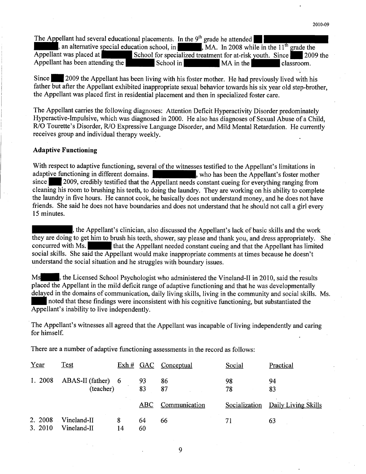| The Appellant had several educational placements. In the $9th$ grade he attended |                                                                                                             |           |            |
|----------------------------------------------------------------------------------|-------------------------------------------------------------------------------------------------------------|-----------|------------|
|                                                                                  | , an alternative special education school, in $\vert$ , MA. In 2008 while in the 11 <sup>th</sup> grade the |           |            |
| Appellant was placed at                                                          | School for specialized treatment for at-risk youth. Since 2009 the                                          |           |            |
| Appellant has been attending the                                                 | School in                                                                                                   | MA in the | classroom. |

Since 1 2009 the Appellant has been living with his foster mother. He had previously lived with his father but after the Appellant exhibited inappropriate sexual behavior towards his six year old step-brother, the Appellant was placed first in residential placement and then in specialized foster care.

The Appellant carries the following diagnoses: Attention Deficit Hyperactivity Disorder predominately Hyperactive-Impulsive, which was diagnosed in 2000. He also has diagnoses of Sexual Abuse of a Child, R/O Tourette's Disorder, R/O Expressive Language Disorder, and Mild Mental Retardation. He currently receives group and individual therapy weekly.

#### Adaptive Functioning

With respect to adaptive functioning, several of the witnesses testified to the Appellant's limitations in Adaptive Functioning<br>With respect to adaptive functioning, several of the witnesses testified to the Appellant's limitations in<br>adaptive functioning in different domains. adaptive functioning in different domains.<br>since 2009, credibly testified that the Appellant needs constant cueing for everything ranging from cleaning his room to brushing his teeth, to doing the laundry. They are working on his ability to complete the laundry in five hours. He cannot cook, he basically does not understand money, and he does not have friends. She said he does not have boundaries and does not understand that he should not call a six every 15 minutes. 2011 <sup>15</sup> minutes.<br>•, the Appellant's clinician, also discussed the Appellant's lack of basic skills and the work

they are doing to get him to brush his teeth, shower, say please and thank you, and dress appropriately. She they are doing to get him to brush his teeth, shower, say please and thank you, and dress appropriately. Somewhere that the Appellant needed constant cueing and that the Appellant has limited concurred with Ms. **She said the Appellant schedule and the Appellant has limited** social skills. She said the Appellant would make inappropriate comments at times because he doesn't understand the social situation and he struggles with boundary issues.

Ms the Licensed School Psychologist who administered the Vineland-II in 2010, said the results placed the Appellant in the mild deficit range of adaptive functioning and that he was developmentally delayed in the domains of communication, daily living skills, living in the community and social skills. Ms. noted that these findings were inconsistent with his cognitive functioning, but substantiated the Appellant's inability to live independently.

The Appellant's witnesses all agreed that the Appellant was incapable of living independently and caring for himself.

There are a number of adaptive functioning assessments in the record as follows:

| Year               | Test                              | Exh# GAC |          | Conceptual    | Social        | Practical           |
|--------------------|-----------------------------------|----------|----------|---------------|---------------|---------------------|
| 1. 2008            | $ABAS-II (father) 6$<br>(teacher) |          | 93<br>83 | 86<br>87      | 98<br>78      | 94<br>83            |
|                    |                                   |          | ABC      | Communication | Socialization | Daily Living Skills |
| 2. 2008<br>3. 2010 | Vineland-II<br>Vineland-II        | 8<br>14  | 64<br>60 | 66            | 71            | 63                  |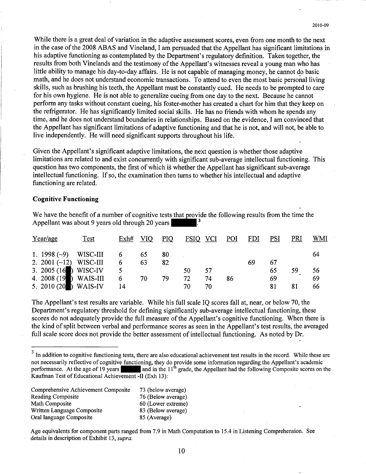While there is a great deal of variation in the adaptive assessment scores, even from one month to the next in the case of the 2008 ABAS and Vineland, I am persuaded that the Appellant has significant limitations in his adaptive functioning as contemplated by the Department's regulatory definition. Taken together, the results from both Vinelands and the testimony of the Appellant's witnesses reveal a young man who has little ability to manage his day-to-day affairs. He is not capable of managing money, he cannot do basic math, and he does not understand economic transactions. To attend to even the most basic persohal living skills, such as brushing his teeth, the Appellant must be constantly cued. He needs to be prompted to care for his own hygiene. He is not able to generalize cueing from one day to the next. Because he cannot perform any tasks without constant cueing, his foster-mother has created a chart for him that they keep on the refrigerator. He has significantly limited social skills. He has no friends with whom he spends any time, and he does not understand boundaries in relationships. Based on the evidence, I am convinced that the Appellant has significant limitations of adaptive functioning and that he is not, and will not, be able to live independently. He will need significant supports throughout his life.

Given the Appellant's significant adaptive limitations, the next question is whether those adaptive limitations are related to and exist concurrently with significant sub-average intellectual functioning. This question has two components, the first of which is whether the Appellant has significant sub-average intellectual functioning. If so, the examination then turns to whether his intellectual and adaptive functioning are related.

#### Cognitive Functioning

We have the benefit of a number of cognitive tests that the following results from the time the Appellant was about 9 years old through 20 years - 1

| Year/age                 | <b>Test</b> |    | $Exh\#$ VIQ | <b>PIQ</b> |    | FSIQ VCI | <b>POI</b> | FDI | <b>PSI</b> | PRI | WMI |
|--------------------------|-------------|----|-------------|------------|----|----------|------------|-----|------------|-----|-----|
| 1. 1998 (~9) WISC-III 6  |             |    | 65          | -80        |    |          |            |     |            |     | 64  |
| 2. 2001 $(-12)$ WISC-III |             | 6  | 63          | 82         |    |          |            | 69  | 67         |     |     |
| 3. 2005 (16 ) WISC-IV    |             | 5  |             |            | 50 | 57       |            |     | 65         | 59  | 56  |
| 4. 2008 (19 ) WAIS-III   |             | 6  | 70          | -79        | 72 | 74       | 86         |     | 69         |     | 69  |
| 5. 2010 (20 ) WAIS-IV    |             | 14 |             |            | 70 | 70       |            |     | 81         | 81  | 66  |

The Appellant's test results are variable. While his full scale IQ scores fall at, near, or below 70, the Department's regulatory threshold for defining significantly sub-average intellectual functioning, these scores do not adequately provide the full measure of the Appellant's cognitive functioning. When there is the kind of split between verbal and performance scores as seen in the Appellant's test results, the averaged full scale score does not provide the better assessment of intellectual functioning. As noted by Dr.

<sup>3</sup> In addition to cognitive functioning tests, there are also educational achievement test results in the record. While these are In addition to cognitive functioning tests, there are also educational achievement test results in the record. While these are<br>not necessarily reflective of cognitive functioning, they do provide some information regardin performance. At the age of 19 years and in the  $11<sup>th</sup>$  grade, the Appellant had the following Composite scores on the Kaufman Test of Educational Achievement -II (Exh 13):

| Comprehensive Achievement Composite | 73 (below average) |
|-------------------------------------|--------------------|
| <b>Reading Composite</b>            | 76 (Below average) |
| Math Composite                      | 60 (Lower extreme) |
| Written Language Composite          | 83 (Below average) |
| Oral language Composite             | 85 (Average)       |

Age equivalents for component parts ranged from 7.9 in Math Computation to 15.4 in Listening Comprehension. See details in description of Exhibit 13, supra.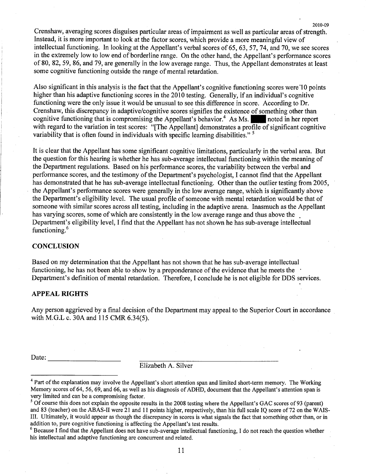Crenshaw, averaging scores disguises particular areas of impairment as well as particular areas of strength. Instead, it is more important to look at the factor scores, which provide a more meaningful view of intellectual functioning. In looking at the Appellant's verbal scores of 65, 63, 57, 74, and 70, we see scores in the extremely low to low end of borderline range. On the other hand, the Appellant's performance scores of 80, 82, 59, 86, and 79, are generally in the low average range. Thus, the Appellant demonstrates at least some cognitive functioning outside the range of mental retardation.

2010-09

Also significant in this analysis is the fact that the Appellant's cognitive functioning scores were'l 0 points higher than his adaptive functioning scores in the 2010 testing. Generally, if an individual's cognitive functioning were the only issue it would be unusual to see this difference in score. According to Dr. Crenshaw, this discrepancy in adaptive/cognitive scores signifies the existence of something other than cognitive functioning that is compromising the Appellant's behavior.<sup>4</sup> As Ms. noted in her report with regard to the variation in test scores: "[The Appellant] demonstrates a profile of significant cognitive variability that is often found in individuals with specific learning disabilities."<sup>5</sup>

It is clear that the Appellant has some significant cognitive limitations, particularly in the verbal area. But the question for this hearing is whether he has sub-average intellectual functioning within the meaning of the Department regulations. Based on his performance scores, the variability between the verbal and performance scores, and the testimony of the Department's psychologist, I cannot find that the Appellant performance scores, and the testimony of the Department's psychologist, I cannot find that the Appellant has demonstrated that he has sub-average intellectual functioning. Other than the outlier testing from 2005, the Appellant's performance scores were generally in the low average range, which is significantly above the Department's eligibility level. The usual profile of someone with mental retardation would be that of someone with similar scores across all testing, including in the adaptive arena. Inasmuch as the Appellant has varying scores, some of which are consistently in the low average range and thus above the Department's eligibility level, I find that the Appellant has not shown he has sub-average intellectual functioning.<sup>6</sup>

### **CONCLUSION**

Based on my determination that the Appellant has not shown that he has sub-average intellectual functioning, he has not been able to show by a preponderance of the evidence that he meets the Department's definition of mental retardation. Therefore, I conclude he is not eligible for DDS services.

#### APPEAL RIGHTS

Any person aggrieved by a final decision of the Department may appeal to the Superior Court in accordance with M.G.L c. 30A and 115 CMR 6.34(5).

Date:

#### Elizabeth A. Silver

<sup>&</sup>lt;sup>4</sup> Part of the explanation may involve the Appellant's short attention span and limited short-term memory. The Working Memory scores of 64, 56, 69, and 66, as well as his diagnosis of ADHD, document that the Appellant's attention span is very limited and can be a compromising factor.

 $<sup>5</sup>$  Of course this does not explain the opposite results in the 2008 testing where the Appellant's GAC scores of 93 (parent)</sup> and 83 (teacher) on the ABAS-II were 21 and 11 points higher, respectively, than his full scale IQ score of 72 on the WAIS-III. Ultimately, it would appear as though the discrepancy in scores is what signals the fact that something other than, or in addition to, pure cognitive functioning is affecting the Appellant's test results.

 $6$  Because I find that the Appellant does not have sub-average intellectual functioning, I do not reach the question whether his intellectual and adaptive functioning are concurrent and related.